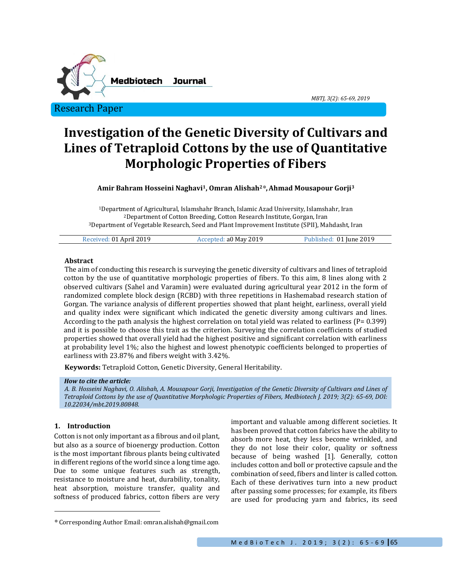

**Investigation of the Genetic Diversity of Cultivars and Lines of Tetraploid Cottons by the use of Quantitative Morphologic Properties of Fibers**

**Amir Bahram Hosseini Naghavi1, Omran Alishah<sup>2</sup>\*,Ahmad Mousapour Gorji<sup>3</sup>**

<sup>1</sup>Department of Agricultural, Islamshahr Branch, Islamic Azad University, Islamshahr, Iran <sup>2</sup>Department of Cotton Breeding, Cotton Research Institute, Gorgan, Iran <sup>3</sup>Department of Vegetable Research, Seed and Plant Improvement Institute (SPII), Mahdasht, Iran

| Received: 01 April 2019 | Accepted: a0 May 2019 | Published: 01 June 2019 |
|-------------------------|-----------------------|-------------------------|
|                         |                       |                         |

#### **Abstract**

The aim of conducting this research is surveying the genetic diversity of cultivars and lines of tetraploid cotton by the use of quantitative morphologic properties of fibers. To this aim, 8 lines along with 2 observed cultivars (Sahel and Varamin) were evaluated during agricultural year 2012 in the form of randomized complete block design (RCBD) with three repetitions in Hashemabad research station of Gorgan. The variance analysis of different properties showed that plant height, earliness, overall yield and quality index were significant which indicated the genetic diversity among cultivars and lines. According to the path analysis the highest correlation on total yield was related to earliness ( $P= 0.399$ ) and it is possible to choose this trait as the criterion. Surveying the correlation coefficients of studied properties showed that overall yield had the highest positive and significant correlation with earliness at probability level 1%; also the highest and lowest phenotypic coefficients belonged to properties of earliness with 23.87% and fibers weight with 3.42%.

**Keywords:** Tetraploid Cotton, Genetic Diversity, General Heritability.

#### *How to cite the article:*

*A. B. Hosseini Naghavi, O. Alishah, A. Mousapour Gorji, Investigation of the Genetic Diversity of Cultivars and Lines of Tetraploid Cottons by the use of Quantitative Morphologic Properties of Fibers, Medbiotech J. 2019; 3(2): 65-69, DOI: 10.22034/mbt.2019.80848.*

### **1. Introduction**

 $\overline{a}$ 

Cotton is not only important as a fibrous and oil plant, but also as a source of bioenergy production. Cotton is the most important fibrous plants being cultivated in different regions of the world since a long time ago. Due to some unique features such as strength, resistance to moisture and heat, durability, tonality, heat absorption, moisture transfer, quality and softness of produced fabrics, cotton fibers are very important and valuable among different societies. It has been proved that cotton fabrics have the ability to absorb more heat, they less become wrinkled, and they do not lose their color, quality or softness because of being washed [1]. Generally, cotton includes cotton and boll or protective capsule and the combination of seed, fibers and linter is called cotton. Each of these derivatives turn into a new product after passing some processes; for example, its fibers are used for producing yarn and fabrics, its seed

*MBTJ, 3(2): 65-69, 2019*

<sup>\*</sup> Corresponding Author Email: omran.alishah@gmail.com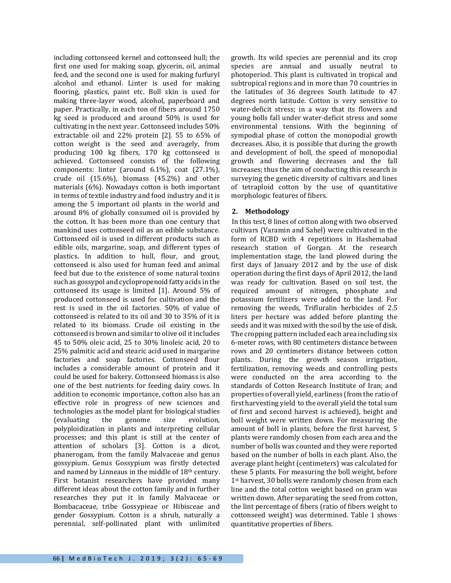including cottonseed kernel and cottonseed hull; the first one used for making soap, glycerin, oil, animal feed, and the second one is used for making furfuryl alcohol and ethanol. Linter is used for making flooring, plastics, paint etc. Boll skin is used for making three-layer wood, alcohol, paperboard and paper. Practically, in each ton of fibers around 1750 kg seed is produced and around 50% is used for cultivating in the next year. Cottonseed includes 50% extractable oil and 22% protein [2]. 55 to 65% of cotton weight is the seed and averagely, from producing 100 kg fibers, 170 kg cottonseed is achieved. Cottonseed consists of the following components: linter (around 6.1%), coat (27.1%), crude oil (15.6%), biomass (45.2%) and other materials (6%). Nowadays cotton is both important in terms of textile industry and food industry and it is among the 5 important oil plants in the world and around 8% of globally consumed oil is provided by the cotton. It has been more than one century that mankind uses cottonseed oil as an edible substance. Cottonseed oil is used in different products such as edible oils, margarine, soap, and different types of plastics. In addition to hull, flour, and grout, cottonseed is also used for human feed and animal feed but due to the existence of some natural toxins such as gossypol and cyclopropenoid fatty acids in the cottonseed its usage is limited [1]. Around 5% of produced cottonseed is used for cultivation and the rest is used in the oil factories. 50% of value of cottonseed is related to its oil and 30 to 35% of it is related to its biomass. Crude oil existing in the cottonseed is brown and similar to olive oil it includes 45 to 50% oleic acid, 25 to 30% linoleic acid, 20 to 25% palmitic acid and stearic acid used in margarine factories and soap factories. Cottonseed flour includes a considerable amount of protein and it could be used for bakery. Cottonseed biomass is also one of the best nutrients for feeding dairy cows. In addition to economic importance, cotton also has an effective role in progress of new sciences and technologies as the model plant for biological studies (evaluating the genome size evolution, polyploidization in plants and interpreting cellular processes; and this plant is still at the center of attention of scholars [3]. Cotton is a dicot, phanerogam, from the family Malvaceae and genus gossypium. Genus Gossypium was firstly detected and named by Linneaus in the middle of  $18<sup>th</sup>$  century. First botanist researchers have provided many different ideas about the cotton family and in further researches they put it in family Malvaceae or Bombacaceae, tribe Gossypieae or Hibisceae and gender Gossypium. Cotton is a shrub, naturally a perennial, self-pollinated plant with unlimited

growth. Its wild species are perennial and its crop species are annual and usually neutral to photoperiod. This plant is cultivated in tropical and subtropical regions and in more than 70 countries in the latitudes of 36 degrees South latitude to 47 degrees north latitude. Cotton is very sensitive to water-deficit stress; in a way that its flowers and young bolls fall under water-deficit stress and some environmental tensions. With the beginning of sympodial phase of cotton the monopodial growth decreases. Also, it is possible that during the growth and development of boll, the speed of monopodial growth and flowering decreases and the fall increases; thus the aim of conducting this research is surveying the genetic diversity of cultivars and lines of tetraploid cotton by the use of quantitative morphologic features of fibers.

## **2. Methodology**

In this test, 8 lines of cotton along with two observed cultivars (Varamin and Sahel) were cultivated in the form of RCBD with 4 repetitions in Hashemabad research station of Gorgan. At the research implementation stage, the land plowed during the first days of January 2012 and by the use of disk operation during the first days of April 2012, the land was ready for cultivation. Based on soil test, the required amount of nitrogen, phosphate and potassium fertilizers were added to the land. For removing the weeds, Trifluralin herbicides of 2.5 liters per hectare was added before planting the seeds and it was mixed with the soil by the use of disk. The cropping pattern included each area including six 6-meter rows, with 80 centimeters distance between rows and 20 centimeters distance between cotton plants. During the growth season irrigation, fertilization, removing weeds and controlling pests were conducted on the area according to the standards of Cotton Research Institute of Iran; and properties of overall yield, earliness (from the ratio of first harvesting yield to the overall yield the total sum of first and second harvest is achieved), height and boll weight were written down. For measuring the amount of boll in plants, before the first harvest, 5 plants were randomly chosen from each area and the number of bolls was counted and they were reported based on the number of bolls in each plant. Also, the average plant height (centimeters) was calculated for these 5 plants. For measuring the boll weight, before 1<sup>st</sup> harvest, 30 bolls were randomly chosen from each line and the total cotton weight based on gram was written down. After separating the seed from cotton, the lint percentage of fibers (ratio of fibers weight to cottonseed weight) was determined. Table 1 shows quantitative properties of fibers.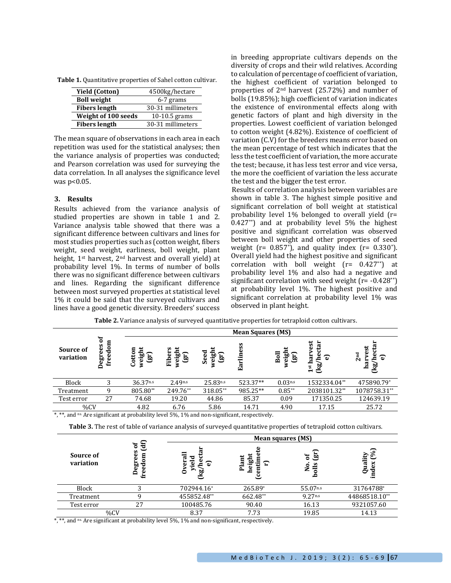| Table 1. Quantitative properties of Sahel cotton cultivar. |  |  |
|------------------------------------------------------------|--|--|
|------------------------------------------------------------|--|--|

| <b>Yield (Cotton)</b> | 4500kg/hectare    |
|-----------------------|-------------------|
| <b>Boll weight</b>    | 6-7 grams         |
| <b>Fibers length</b>  | 30-31 millimeters |
| Weight of 100 seeds   | $10-10.5$ grams   |
| <b>Fibers length</b>  | 30-31 millimeters |

The mean square of observations in each area in each repetition was used for the statistical analyses; then the variance analysis of properties was conducted; and Pearson correlation was used for surveying the data correlation. In all analyses the significance level was p<0.05.

### **3. Results**

Results achieved from the variance analysis of studied properties are shown in table 1 and 2. Variance analysis table showed that there was a significant difference between cultivars and lines for most studies properties such as (cotton weight, fibers weight, seed weight, earliness, boll weight, plant height, 1<sup>st</sup> harvest, 2<sup>nd</sup> harvest and overall yield) at probability level 1%. In terms of number of bolls there was no significant difference between cultivars and lines. Regarding the significant difference between most surveyed properties at statistical level 1% it could be said that the surveyed cultivars and lines have a good genetic diversity. Breeders' success in breeding appropriate cultivars depends on the diversity of crops and their wild relatives. According to calculation of percentage of coefficient of variation, the highest coefficient of variation belonged to properties of 2nd harvest (25.72%) and number of bolls (19.85%); high coefficient of variation indicates the existence of environmental effects along with genetic factors of plant and high diversity in the properties. Lowest coefficient of variation belonged to cotton weight (4.82%). Existence of coefficient of variation (C.V) for the breeders means error based on the mean percentage of test which indicates that the less the test coefficient of variation, the more accurate the test; because, it has less test error and vice versa, the more the coefficient of variation the less accurate the test and the bigger the test error.

Results of correlation analysis between variables are shown in table 3. The highest simple positive and significant correlation of boll weight at statistical probability level 1% belonged to overall yield (r= 0.427\*\*) and at probability level 5% the highest positive and significant correlation was observed between boll weight and other properties of seed weight ( $r= 0.857$ <sup>\*</sup>), and quality index ( $r= 0.330$ <sup>\*</sup>). Overall yield had the highest positive and significant correlation with boll weight  $(r= 0.427^{**})$  at probability level 1% and also had a negative and significant correlation with seed weight  $(r= -0.428^{**})$ at probability level 1%. The highest positive and significant correlation at probability level 1% was observed in plant height.

**Table 2.** Variance analysis of surveyed quantitative properties for tetraploid cotton cultivars.

|                        |                         |                       | <b>Mean Squares (MS)</b>         |                       |           |                         |                                                |                                        |  |  |
|------------------------|-------------------------|-----------------------|----------------------------------|-----------------------|-----------|-------------------------|------------------------------------------------|----------------------------------------|--|--|
| Source of<br>variation | ð<br>freedom<br>Degrees | weight<br>Cotton<br>ු | Ħ<br>ers<br>veigh<br>(gr)<br>Eib | Seed<br>weigh<br>(gr) | Earliness | weight<br>Boll<br>$\Xi$ | vest<br>ω<br>har<br>ౚ<br>⋍<br><u>Rg</u><br>1st | ť<br>2 <sup>nd</sup><br>ධ<br>har<br>ෂී |  |  |
| Block                  |                         | 36.37 <sup>n.s</sup>  | 2.49 <sub>n.s</sub>              | $25.83$ n.s           | 523.37**  | 0.03 <sub>n.s</sub>     | 1532334.04**                                   | 475890.79*                             |  |  |
| Treatment              | 9                       | 805.80**              | 249.76**                         | 318.05**              | 985.25**  | $0.85**$                | 2038101.32**                                   | 1078758.31**                           |  |  |
| Test error             | 27                      | 74.68                 | 19.20                            | 44.86                 | 85.37     | 0.09                    | 171350.25                                      | 124639.19                              |  |  |
| %CV                    |                         | 4.82                  | 6.76                             | 5.86                  | 14.71     | 4.90                    | 17.15                                          | 25.72                                  |  |  |

\*, \*\*, and ns. Are significant at probability level 5%, 1% and non-significant, respectively.

**Table 3.** The rest of table of variance analysis of surveyed quantitative properties of tetraploid cotton cultivars.

|                        | ਰੁ<br>ัธ<br>es<br>freedom<br>Degree |                                     | Mean squares (MS)   |                               |                                     |  |  |  |
|------------------------|-------------------------------------|-------------------------------------|---------------------|-------------------------------|-------------------------------------|--|--|--|
| Source of<br>variation |                                     | eral<br>ರ<br>ھ<br>ு<br>⋗<br>≏<br>ෂී | heigh<br>Plant<br>Έ | த<br>ð<br>olls<br>Ó<br>z<br>ء | $\mathcal{S}_0$<br>Quality<br>index |  |  |  |
| Block                  | 3                                   | 702944.16*                          | 265.89*             | 55.07n.s                      | 31764788*                           |  |  |  |
| Treatment              | q                                   | 455852.48**                         | 662.48**            | 9.27 <sub>n.s</sub>           | 44868518.10**                       |  |  |  |
| Test error             | 27                                  | 100485.76                           | 90.40               | 16.13                         | 9321057.60                          |  |  |  |
| %CV                    |                                     | 8.37                                | 7.73                | 19.85                         | 14.13                               |  |  |  |

\*, \*\*, and ns. Are significant at probability level 5%, 1% and non-significant, respectively.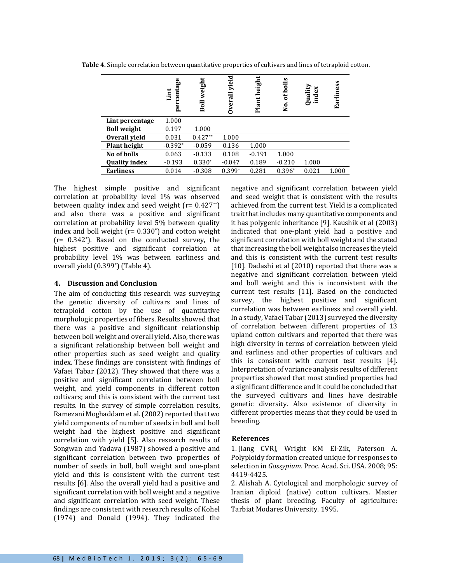**Table 4.** Simple correlation between quantitative properties of cultivars and lines of tetraploid cotton.

|                      | centage<br>Lint<br>per | weight<br>Boll | ರ<br>yiel<br><b>Dverall</b> | height<br>Plant | s<br>boll<br>ัธ<br>$\mathbf{\hat{z}}$ | Quality<br>index | Earliness |
|----------------------|------------------------|----------------|-----------------------------|-----------------|---------------------------------------|------------------|-----------|
| Lint percentage      | 1.000                  |                |                             |                 |                                       |                  |           |
| <b>Boll weight</b>   | 0.197                  | 1.000          |                             |                 |                                       |                  |           |
| Overall vield        | 0.031                  | $0.427**$      | 1.000                       |                 |                                       |                  |           |
| <b>Plant height</b>  | $-0.392*$              | $-0.059$       | 0.136                       | 1.000           |                                       |                  |           |
| No of bolls          | 0.063                  | $-0.133$       | 0.108                       | $-0.191$        | 1.000                                 |                  |           |
| <b>Quality index</b> | $-0.193$               | $0.330*$       | $-0.047$                    | 0.189           | $-0.210$                              | 1.000            |           |
| <b>Earliness</b>     | 0.014                  | $-0.308$       | $0.399*$                    | 0.281           | $0.396*$                              | 0.021            | 1.000     |

The highest simple positive and significant correlation at probability level 1% was observed between quality index and seed weight  $(r= 0.427^{**})$ and also there was a positive and significant correlation at probability level 5% between quality index and boll weight ( $r= 0.330^*$ ) and cotton weight (r= 0.342\*). Based on the conducted survey, the highest positive and significant correlation at probability level 1% was between earliness and overall yield (0.399\*) (Table 4).

## **4. Discussion and Conclusion**

The aim of conducting this research was surveying the genetic diversity of cultivars and lines of tetraploid cotton by the use of quantitative morphologic properties of fibers. Results showed that there was a positive and significant relationship between boll weight and overall yield. Also, there was a significant relationship between boll weight and other properties such as seed weight and quality index. These findings are consistent with findings of Vafaei Tabar (2012). They showed that there was a positive and significant correlation between boll weight, and yield components in different cotton cultivars; and this is consistent with the current test results. In the survey of simple correlation results, Ramezani Moghaddam et al.(2002) reported that two yield components of number of seeds in boll and boll weight had the highest positive and significant correlation with yield [5]. Also research results of Songwan and Yadava (1987) showed a positive and significant correlation between two properties of number of seeds in boll, boll weight and one-plant yield and this is consistent with the current test results [6]. Also the overall yield had a positive and significant correlation with boll weight and a negative and significant correlation with seed weight. These findings are consistent with research results of Kohel (1974) and Donald (1994). They indicated the

negative and significant correlation between yield and seed weight that is consistent with the results achieved from the current test. Yield is a complicated trait that includes many quantitative components and it has polygenic inheritance [9]. Kaushik et al (2003) indicated that one-plant yield had a positive and significant correlation with boll weight and the stated that increasing the boll weight also increases the yield and this is consistent with the current test results [10]. Dadashi et al (2010) reported that there was a negative and significant correlation between yield and boll weight and this is inconsistent with the current test results [11]. Based on the conducted survey, the highest positive and significant correlation was between earliness and overall yield. In a study, Vafaei Tabar (2013) surveyed the diversity of correlation between different properties of 13 upland cotton cultivars and reported that there was high diversity in terms of correlation between yield and earliness and other properties of cultivars and this is consistent with current test results [4]. Interpretation of variance analysis results of different properties showed that most studied properties had a significant difference and it could be concluded that the surveyed cultivars and lines have desirable genetic diversity. Also existence of diversity in different properties means that they could be used in breeding.

# **References**

1. Jiang CVRJ, Wright KM El-Zik, Paterson A. Polyploidy formation created unique for responses to selection in *Gossypium*. Proc. Acad. Sci. USA. 2008; 95: 4419-4425.

2. Alishah A. Cytological and morphologic survey of Iranian diploid (native) cotton cultivars. Master thesis of plant breeding. Faculty of agriculture: Tarbiat Modares University. 1995.